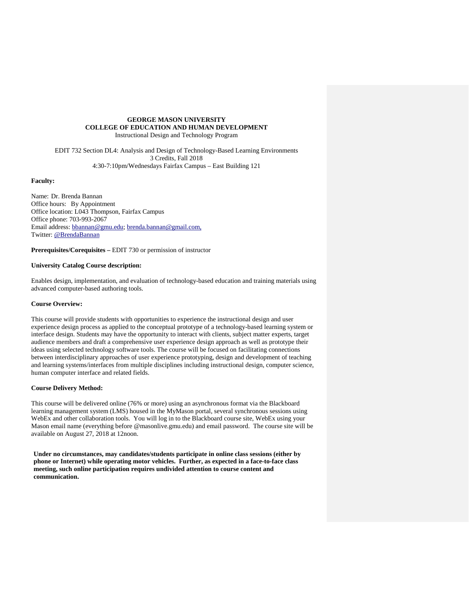### **GEORGE MASON UNIVERSITY COLLEGE OF EDUCATION AND HUMAN DEVELOPMENT** Instructional Design and Technology Program

EDIT 732 Section DL4: Analysis and Design of Technology-Based Learning Environments 3 Credits, Fall 2018 4:30-7:10pm/Wednesdays Fairfax Campus – East Building 121

# **Faculty:**

Name: Dr. Brenda Bannan Office hours: By Appointment Office location: L043 Thompson, Fairfax Campus Office phone: 703-993-2067 Email address: [bbannan@gmu.edu;](mailto:bbannan@gmu.edu) [brenda.bannan@gmail.com,](mailto:brenda.bannan@gmail.com) Twitter: @BrendaBannan

**Prerequisites/Corequisites –** EDIT 730 or permission of instructor

# **University Catalog Course description:**

Enables design, implementation, and evaluation of technology-based education and training materials using advanced computer-based authoring tools.

### **Course Overview:**

This course will provide students with opportunities to experience the instructional design and user experience design process as applied to the conceptual prototype of a technology-based learning system or interface design. Students may have the opportunity to interact with clients, subject matter experts, target audience members and draft a comprehensive user experience design approach as well as prototype their ideas using selected technology software tools. The course will be focused on facilitating connections between interdisciplinary approaches of user experience prototyping, design and development of teaching and learning systems/interfaces from multiple disciplines including instructional design, computer science, human computer interface and related fields.

#### **Course Delivery Method:**

This course will be delivered online (76% or more) using an asynchronous format via the Blackboard learning management system (LMS) housed in the MyMason portal, several synchronous sessions using WebEx and other collaboration tools. You will log in to the Blackboard course site, WebEx using your Mason email name (everything before @masonlive.gmu.edu) and email password. The course site will be available on August 27, 2018 at 12noon.

**Under no circumstances, may candidates/students participate in online class sessions (either by phone or Internet) while operating motor vehicles. Further, as expected in a face-to-face class meeting, such online participation requires undivided attention to course content and communication.**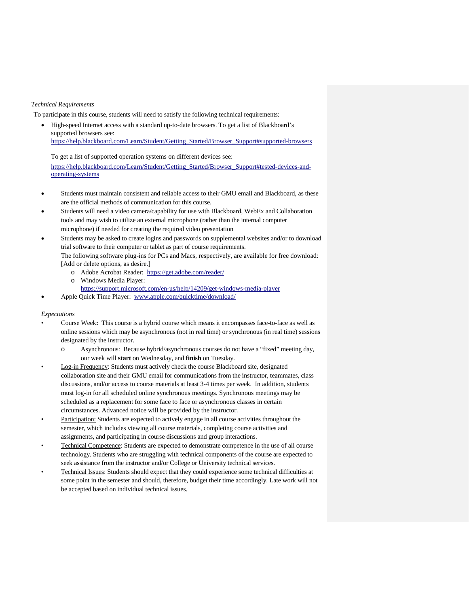# *Technical Requirements*

To participate in this course, students will need to satisfy the following technical requirements:

• High-speed Internet access with a standard up-to-date browsers. To get a list of Blackboard's supported browsers see: [https://help.blackboard.com/Learn/Student/Getting\\_Started/Browser\\_Support#supported-browsers](https://help.blackboard.com/Learn/Student/Getting_Started/Browser_Support#supported-browsers)

To get a list of supported operation systems on different devices see: [https://help.blackboard.com/Learn/Student/Getting\\_Started/Browser\\_Support#tested-devices-and](https://help.blackboard.com/Learn/Student/Getting_Started/Browser_Support#tested-devices-and-operating-systems)[operating-systems](https://help.blackboard.com/Learn/Student/Getting_Started/Browser_Support#tested-devices-and-operating-systems)

- Students must maintain consistent and reliable access to their GMU email and Blackboard, as these are the official methods of communication for this course.
- Students will need a video camera/capability for use with Blackboard, WebEx and Collaboration tools and may wish to utilize an external microphone (rather than the internal computer microphone) if needed for creating the required video presentation
- Students may be asked to create logins and passwords on supplemental websites and/or to download trial software to their computer or tablet as part of course requirements. The following software plug-ins for PCs and Macs, respectively, are available for free download:
	- [Add or delete options, as desire.]
		- o Adobe Acrobat Reader: <https://get.adobe.com/reader/>
		- o Windows Media Player:
		- <https://support.microsoft.com/en-us/help/14209/get-windows-media-player>
- Apple Quick Time Player: [www.apple.com/quicktime/download/](http://www.apple.com/quicktime/download/)

### *Expectations*

- Course Week**:** This course is a hybrid course which means it encompasses face-to-face as well as online sessions which may be asynchronous (not in real time) or synchronous (in real time) sessions designated by the instructor.
	- o Asynchronous: Because hybrid/asynchronous courses do not have a "fixed" meeting day, our week will **start** on Wednesday, and **finish** on Tuesday.
- Log-in Frequency: Students must actively check the course Blackboard site, designated collaboration site and their GMU email for communications from the instructor, teammates, class discussions, and/or access to course materials at least 3-4 times per week. In addition, students must log-in for all scheduled online synchronous meetings. Synchronous meetings may be scheduled as a replacement for some face to face or asynchronous classes in certain circumstances. Advanced notice will be provided by the instructor.
- Participation: Students are expected to actively engage in all course activities throughout the semester, which includes viewing all course materials, completing course activities and assignments, and participating in course discussions and group interactions.
- Technical Competence: Students are expected to demonstrate competence in the use of all course technology. Students who are struggling with technical components of the course are expected to seek assistance from the instructor and/or College or University technical services.
- Technical Issues: Students should expect that they could experience some technical difficulties at some point in the semester and should, therefore, budget their time accordingly. Late work will not be accepted based on individual technical issues.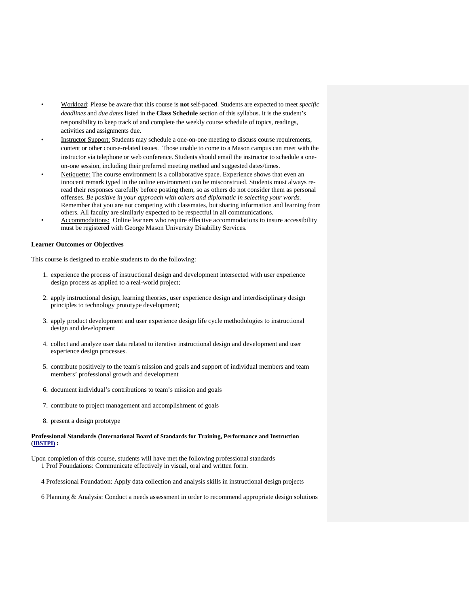- Workload: Please be aware that this course is **not** self-paced. Students are expected to meet *specific deadlines* and *due dates* listed in the **Class Schedule** section of this syllabus. It is the student's responsibility to keep track of and complete the weekly course schedule of topics, readings, activities and assignments due.
- Instructor Support: Students may schedule a one-on-one meeting to discuss course requirements, content or other course-related issues. Those unable to come to a Mason campus can meet with the instructor via telephone or web conference. Students should email the instructor to schedule a oneon-one session, including their preferred meeting method and suggested dates/times.
- Netiquette: The course environment is a collaborative space. Experience shows that even an innocent remark typed in the online environment can be misconstrued. Students must always reread their responses carefully before posting them, so as others do not consider them as personal offenses. *Be positive in your approach with others and diplomatic in selecting your words.* Remember that you are not competing with classmates, but sharing information and learning from others. All faculty are similarly expected to be respectful in all communications.
- Accommodations: Online learners who require effective accommodations to insure accessibility must be registered with George Mason University Disability Services.

### **Learner Outcomes or Objectives**

This course is designed to enable students to do the following:

- 1. experience the process of instructional design and development intersected with user experience design process as applied to a real-world project;
- 2. apply instructional design, learning theories, user experience design and interdisciplinary design principles to technology prototype development;
- 3. apply product development and user experience design life cycle methodologies to instructional design and development
- 4. collect and analyze user data related to iterative instructional design and development and user experience design processes.
- 5. contribute positively to the team's mission and goals and support of individual members and team members' professional growth and development
- 6. document individual's contributions to team's mission and goals
- 7. contribute to project management and accomplishment of goals
- 8. present a design prototype

### **Professional Standards (International Board of Standards for Training, Performance and Instruction [\(IBSTPI\)](http://www.ibstpi.org/) :**

Upon completion of this course, students will have met the following professional standards 1 Prof Foundations: Communicate effectively in visual, oral and written form.

- 4 Professional Foundation: Apply data collection and analysis skills in instructional design projects
- 6 Planning & Analysis: Conduct a needs assessment in order to recommend appropriate design solutions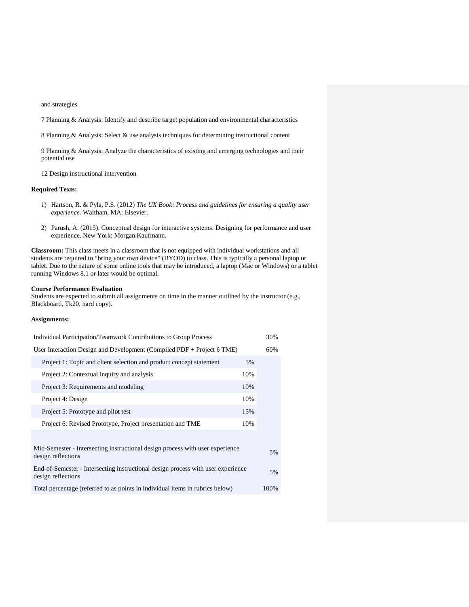#### and strategies

7 Planning & Analysis: Identify and describe target population and environmental characteristics

8 Planning & Analysis: Select & use analysis techniques for determining instructional content

9 Planning & Analysis: Analyze the characteristics of existing and emerging technologies and their potential use

12 Design instructional intervention

### **Required Texts:**

- 1) Hartson, R. & Pyla, P.S. (2012) *The UX Book: Process and guidelines for ensuring a quality user experience.* Waltham, MA: Elsevier.
- 2) Parush, A. (2015). Conceptual design for interactive systems: Designing for performance and user experience. New York: Morgan Kaufmann.

**Classroom:** This class meets in a classroom that is not equipped with individual workstations and all students are required to "bring your own device" (BYOD) to class. This is typically a personal laptop or tablet. Due to the nature of some online tools that may be introduced, a laptop (Mac or Windows) or a tablet running Windows 8.1 or later would be optimal.

### **Course Performance Evaluation**

Students are expected to submit all assignments on time in the manner outlined by the instructor (e.g., Blackboard, Tk20, hard copy).

## **Assignments:**

| Individual Participation/Teamwork Contributions to Group Process                                       | 30%  |
|--------------------------------------------------------------------------------------------------------|------|
| User Interaction Design and Development (Compiled PDF + Project 6 TME)                                 | 60%  |
| Project 1: Topic and client selection and product concept statement<br>5%                              |      |
| Project 2: Contextual inquiry and analysis<br>10%                                                      |      |
| Project 3: Requirements and modeling<br>10%                                                            |      |
| 10%<br>Project 4: Design                                                                               |      |
| Project 5: Prototype and pilot test<br>15%                                                             |      |
| Project 6: Revised Prototype, Project presentation and TME<br>10%                                      |      |
|                                                                                                        |      |
| Mid-Semester - Intersecting instructional design process with user experience<br>design reflections    | 5%   |
| End-of-Semester - Intersecting instructional design process with user experience<br>design reflections | 5%   |
| Total percentage (referred to as points in individual items in rubrics below)                          | 100% |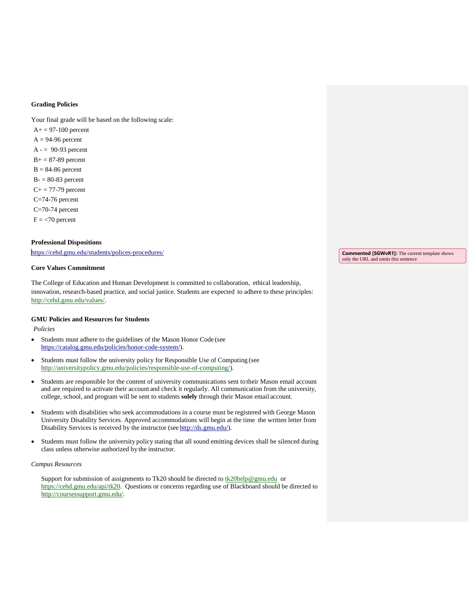## **Grading Policies**

Your final grade will be based on the following scale:

 $A+= 97-100$  percent  $A = 94-96$  percent  $A = 90-93$  percent  $B+=87-89$  percent  $B = 84-86$  percent  $B = 80-83$  percent  $C+= 77-79$  percent C=74-76 percent C=70-74 percent  $F = 70$  percent

# **Professional Dispositions**

<https://cehd.gmu.edu/students/polices-procedures/>

# **Core Values Commitment**

The College of Education and Human Development is committed to collaboration, ethical leadership, innovation, research-based practice, and social justice. Students are expected to adhere to these principles: [http://cehd.gmu.edu/values/.](http://cehd.gmu.edu/values/)

## **GMU Policies and Resources for Students**

*Policies*

- Students must adhere to the guidelines of the Mason Honor Code (see [https://catalog.gmu.edu/policies/honor-code-system/\)](https://catalog.gmu.edu/policies/honor-code-system/).
- Students must follow the university policy for Responsible Use of Computing (see [http://universitypolicy.gmu.edu/policies/responsible-use-of-computing/\)](http://universitypolicy.gmu.edu/policies/responsible-use-of-computing/).
- Students are responsible for the content of university communications sent to their Mason email account and are required to activate their account and check it regularly. All communication from the university, college, school, and program will be sent to students **solely** through their Mason email account.
- Students with disabilities who seek accommodations in a course must be registered with George Mason University Disability Services. Approved accommodations will begin at the time the written letter from Disability Services is received by the instructor (se[e http://ds.gmu.edu/\)](http://ds.gmu.edu/).
- Students must follow the university policy stating that all sound emitting devices shall be silenced during class unless otherwise authorized by the instructor.

#### *Campus Resources*

Support for submission of assignments to Tk20 should be directed to  $\underline{tk20}$ help@gmu.edu or [https://cehd.gmu.edu/api/tk20.](https://cehd.gmu.edu/api/tk20) Questions or concerns regarding use of Blackboard should be directed to [http://coursessupport.gmu.edu/.](http://coursessupport.gmu.edu/)

**Commented [SGWvR1]:** The current template shows only the URL and omits this sentence